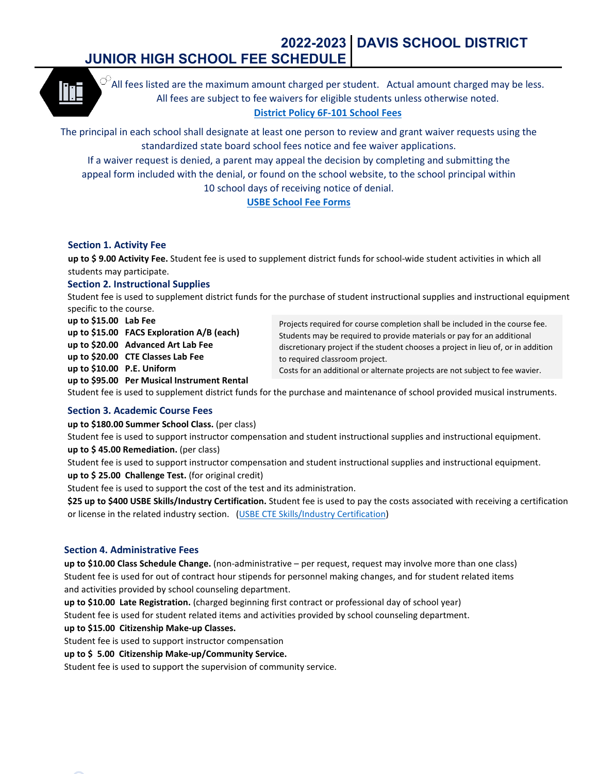# **2022-2023 DAVIS SCHOOL DISTRICT JUNIOR HIGH SCHOOL FEE SCHEDULE**



 $\heartsuit$ All fees listed are the maximum amount charged per student. Actual amount charged may be less. All fees are subject to fee waivers for eligible students unless otherwise noted. **District Policy [6F-101 School Fees](https://resources.finalsite.net/images/v1586372167/davisk12utus/g9stazbe9fum0g3rfbhd/6F-101SchoolFeesFeeWaiversandProvisionsinLieuofaFee.pdf)**

The principal in each school shall designate at least one person to review and grant waiver requests using the standardized state board school fees notice and fee waiver applications.

If a waiver request is denied, a parent may appeal the decision by completing and submitting the appeal form included with the denial, or found on the school website, to the school principal within 10 school days of receiving notice of denial.

# **[USBE School Fee Forms](https://schools.utah.gov/schoolfees?mid=4340&tid=3)**

## **Section 1. Activity Fee**

**up to \$ 9.00 Activity Fee.** Student fee is used to supplement district funds for school-wide student activities in which all students may participate.

## **Section 2. Instructional Supplies**

Student fee is used to supplement district funds for the purchase of student instructional supplies and instructional equipment specific to the course.

**up to \$15.00 Lab Fee up to \$15.00 FACS Exploration A/B (each) up to \$20.00 Advanced Art Lab Fee up to \$20.00 CTE Classes Lab Fee** 

Projects required for course completion shall be included in the course fee. Students may be required to provide materials or pay for an additional discretionary project if the student chooses a project in lieu of, or in addition to required classroom project.

Costs for an additional or alternate projects are not subject to fee wavier.

**up to \$95.00 Per Musical Instrument Rental**

Student fee is used to supplement district funds for the purchase and maintenance of school provided musical instruments.

# **Section 3. Academic Course Fees**

**up to \$10.00 P.E. Uniform**

**up to \$180.00 Summer School Class.** (per class)

Student fee is used to support instructor compensation and student instructional supplies and instructional equipment. **up to \$ 45.00 Remediation.** (per class)

Student fee is used to support instructor compensation and student instructional supplies and instructional equipment. **up to \$ 25.00 Challenge Test.** (for original credit)

Student fee is used to support the cost of the test and its administration.

**\$25 up to \$400 USBE Skills/Industry Certification.** Student fee is used to pay the costs associated with receiving a certification or license in the related industry section. [\(USBE CTE Skills/Industry Certification\)](https://www.schools.utah.gov/cte/skillcertificate/alltests?mid=3237&aid=11)

# **Section 4. Administrative Fees**

**up to \$10.00 Class Schedule Change.** (non-administrative – per request, request may involve more than one class) Student fee is used for out of contract hour stipends for personnel making changes, and for student related items and activities provided by school counseling department.

**up to \$10.00 Late Registration.** (charged beginning first contract or professional day of school year)

Student fee is used for student related items and activities provided by school counseling department.

**up to \$15.00 Citizenship Make-up Classes.**

Student fee is used to support instructor compensation

**up to \$ 5.00 Citizenship Make-up/Community Service.**

Student fee is used to support the supervision of community service.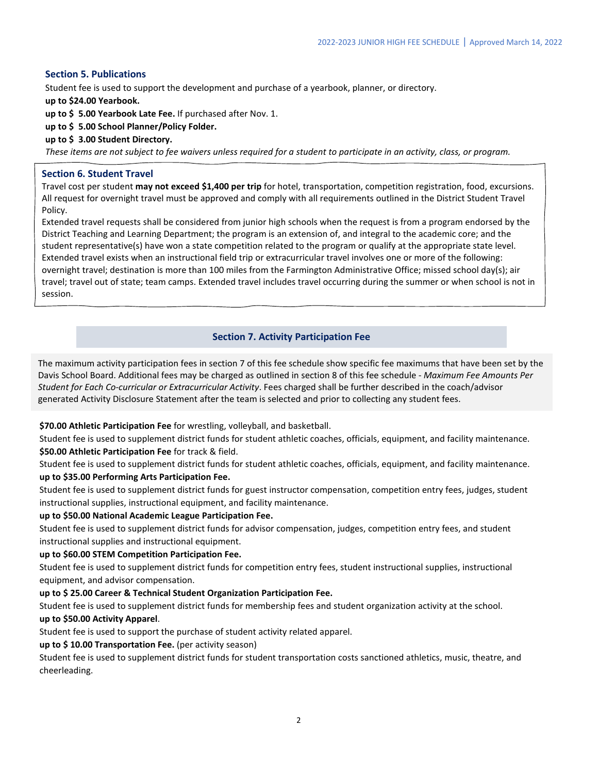## **Section 5. Publications**

Student fee is used to support the development and purchase of a yearbook, planner, or directory.

**up to \$24.00 Yearbook.**

**up to \$ 5.00 Yearbook Late Fee.** If purchased after Nov. 1.

**up to \$ 5.00 School Planner/Policy Folder.**

## **up to \$ 3.00 Student Directory.**

*These items are not subject to fee waivers unless required for a student to participate in an activity, class, or program.*

## **Section 6. Student Travel**

Travel cost per student **may not exceed \$1,400 per trip** for hotel, transportation, competition registration, food, excursions. All request for overnight travel must be approved and comply with all requirements outlined in the District Student Travel Policy.

Extended travel requests shall be considered from junior high schools when the request is from a program endorsed by the District Teaching and Learning Department; the program is an extension of, and integral to the academic core; and the student representative(s) have won a state competition related to the program or qualify at the appropriate state level. Extended travel exists when an instructional field trip or extracurricular travel involves one or more of the following: overnight travel; destination is more than 100 miles from the Farmington Administrative Office; missed school day(s); air travel; travel out of state; team camps. Extended travel includes travel occurring during the summer or when school is not in session.

# **Section 7. Activity Participation Fee**

The maximum activity participation fees in section 7 of this fee schedule show specific fee maximums that have been set by the Davis School Board. Additional fees may be charged as outlined in section 8 of this fee schedule - *Maximum Fee Amounts Per Student for Each Co-curricular or Extracurricular Activity*. Fees charged shall be further described in the coach/advisor generated Activity Disclosure Statement after the team is selected and prior to collecting any student fees.

## **\$70.00 Athletic Participation Fee** for wrestling, volleyball, and basketball.

Student fee is used to supplement district funds for student athletic coaches, officials, equipment, and facility maintenance. **\$50.00 Athletic Participation Fee** for track & field.

Student fee is used to supplement district funds for student athletic coaches, officials, equipment, and facility maintenance. **up to \$35.00 Performing Arts Participation Fee.** 

Student fee is used to supplement district funds for guest instructor compensation, competition entry fees, judges, student instructional supplies, instructional equipment, and facility maintenance.

## **up to \$50.00 National Academic League Participation Fee.**

Student fee is used to supplement district funds for advisor compensation, judges, competition entry fees, and student instructional supplies and instructional equipment.

#### **up to \$60.00 STEM Competition Participation Fee.**

Student fee is used to supplement district funds for competition entry fees, student instructional supplies, instructional equipment, and advisor compensation.

#### **up to \$ 25.00 Career & Technical Student Organization Participation Fee.**

Student fee is used to supplement district funds for membership fees and student organization activity at the school.

# **up to \$50.00 Activity Apparel**.

Student fee is used to support the purchase of student activity related apparel.

## **up to \$ 10.00 Transportation Fee.** (per activity season)

Student fee is used to supplement district funds for student transportation costs sanctioned athletics, music, theatre, and cheerleading.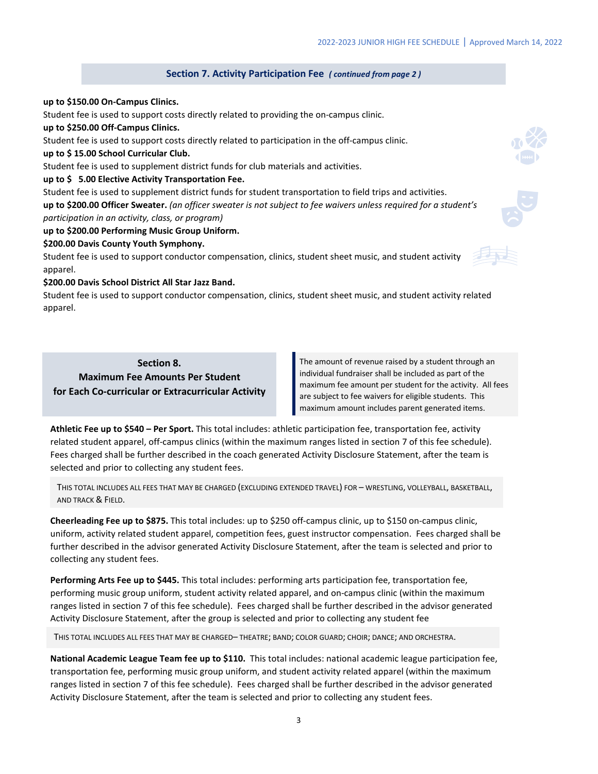### **Section 7. Activity Participation Fee** *( continued from page 2 )*

#### **up to \$150.00 On-Campus Clinics.**

Student fee is used to support costs directly related to providing the on-campus clinic.

**up to \$250.00 Off-Campus Clinics.** 

Student fee is used to support costs directly related to participation in the off-campus clinic.

**up to \$ 15.00 School Curricular Club.** 

Student fee is used to supplement district funds for club materials and activities.

#### **up to \$ 5.00 Elective Activity Transportation Fee.**

Student fee is used to supplement district funds for student transportation to field trips and activities. **up to \$200.00 Officer Sweater.** *(an officer sweater is not subject to fee waivers unless required for a student's participation in an activity, class, or program)*

#### **up to \$200.00 Performing Music Group Uniform.**

#### **\$200.00 Davis County Youth Symphony.**

Student fee is used to support conductor compensation, clinics, student sheet music, and student activity apparel.

#### **\$200.00 Davis School District All Star Jazz Band.**

Student fee is used to support conductor compensation, clinics, student sheet music, and student activity related apparel.

**Section 8. Maximum Fee Amounts Per Student for Each Co-curricular or Extracurricular Activity**

The amount of revenue raised by a student through an individual fundraiser shall be included as part of the maximum fee amount per student for the activity. All fees are subject to fee waivers for eligible students. This maximum amount includes parent generated items.

**Athletic Fee up to \$540 – Per Sport.** This total includes: athletic participation fee, transportation fee, activity related student apparel, off-campus clinics (within the maximum ranges listed in section 7 of this fee schedule). Fees charged shall be further described in the coach generated Activity Disclosure Statement, after the team is selected and prior to collecting any student fees.

THIS TOTAL INCLUDES ALL FEES THAT MAY BE CHARGED (EXCLUDING EXTENDED TRAVEL) FOR – WRESTLING, VOLLEYBALL, BASKETBALL, AND TRACK & FIELD.

**Cheerleading Fee up to \$875.** This total includes: up to \$250 off-campus clinic, up to \$150 on-campus clinic, uniform, activity related student apparel, competition fees, guest instructor compensation. Fees charged shall be further described in the advisor generated Activity Disclosure Statement, after the team is selected and prior to collecting any student fees.

**Performing Arts Fee up to \$445.** This total includes: performing arts participation fee, transportation fee, performing music group uniform, student activity related apparel, and on-campus clinic (within the maximum ranges listed in section 7 of this fee schedule). Fees charged shall be further described in the advisor generated Activity Disclosure Statement, after the group is selected and prior to collecting any student fee

THIS TOTAL INCLUDES ALL FEES THAT MAY BE CHARGED– THEATRE; BAND; COLOR GUARD; CHOIR; DANCE; AND ORCHESTRA.

**National Academic League Team fee up to \$110.** This total includes: national academic league participation fee, transportation fee, performing music group uniform, and student activity related apparel (within the maximum ranges listed in section 7 of this fee schedule). Fees charged shall be further described in the advisor generated Activity Disclosure Statement, after the team is selected and prior to collecting any student fees.